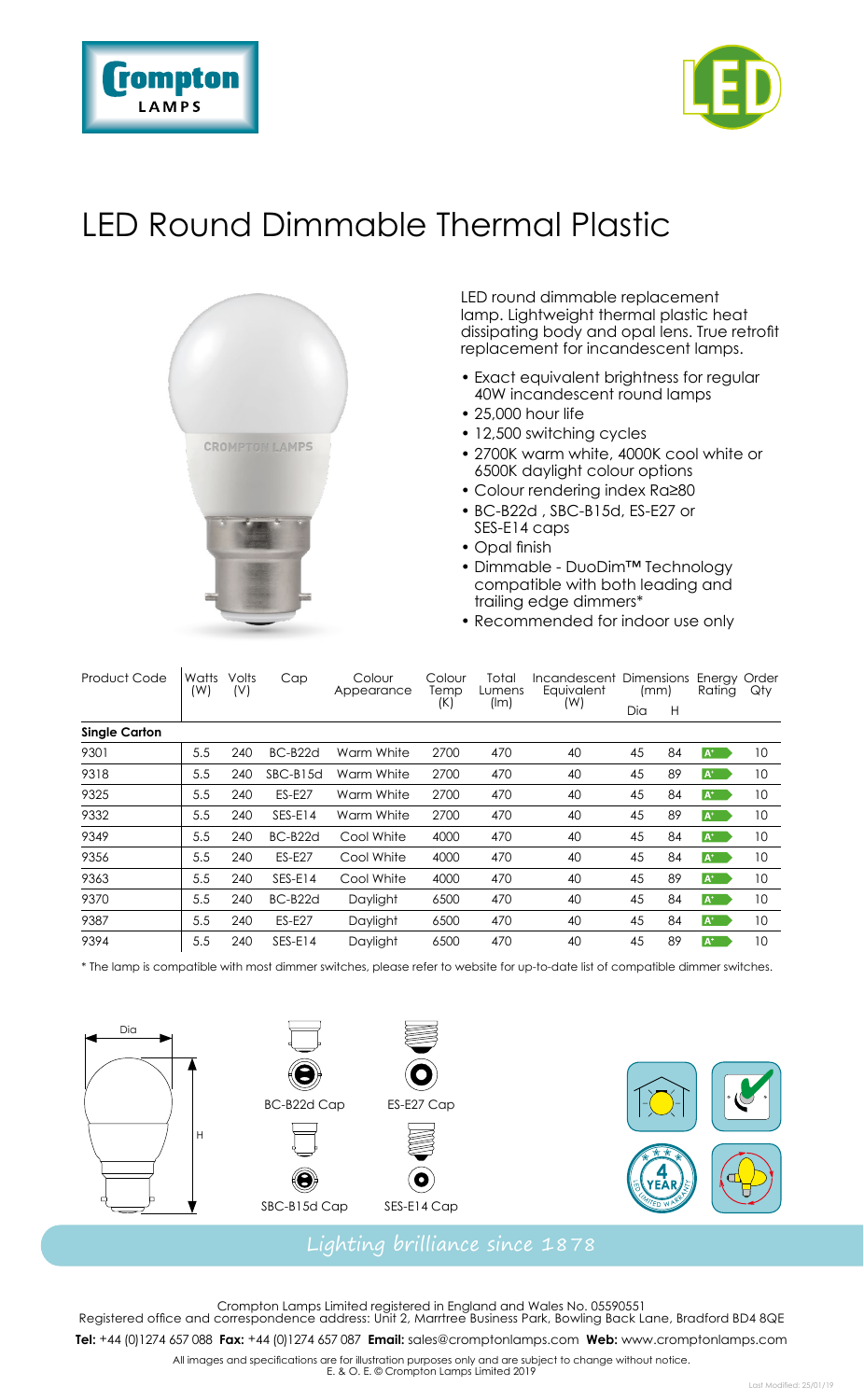



## LED Round Dimmable Thermal Plastic



LED round dimmable replacement lamp. Lightweight thermal plastic heat dissipating body and opal lens. True retrofit replacement for incandescent lamps.

- Exact equivalent brightness for regular 40W incandescent round lamps
- 25,000 hour life
- 12,500 switching cycles
- 2700K warm white, 4000K cool white or 6500K daylight colour options
- Colour rendering index Ra≥80
- BC-B22d , SBC-B15d, ES-E27 or SES-E14 caps
- Opal finish
- Dimmable DuoDim™ Technology compatible with both leading and trailing edge dimmers\*
- Recommended for indoor use only

| <b>Product Code</b>  | Watts<br>(W) | Volts<br>(V) | Cap           | Colour<br>Appearance | Colour<br>Temp<br>(K) | Total<br>Lumens<br>(lm) | Incandescent Dimensions<br>Eauivalent<br>(W) | (mm) |    | Enerav Order<br>Rating | Qty |  |  |  |
|----------------------|--------------|--------------|---------------|----------------------|-----------------------|-------------------------|----------------------------------------------|------|----|------------------------|-----|--|--|--|
|                      |              |              |               |                      |                       |                         |                                              | Dia  | H  |                        |     |  |  |  |
| <b>Single Carton</b> |              |              |               |                      |                       |                         |                                              |      |    |                        |     |  |  |  |
| 9301                 | 5.5          | 240          | BC-B22d       | Warm White           | 2700                  | 470                     | 40                                           | 45   | 84 | $A^+$                  | 10  |  |  |  |
| 9318                 | 5.5          | 240          | SBC-B15d      | Warm White           | 2700                  | 470                     | 40                                           | 45   | 89 | $A^*$                  | 10  |  |  |  |
| 9325                 | 5.5          | 240          | <b>FS-F27</b> | Warm White           | 2700                  | 470                     | 40                                           | 45   | 84 | $A^*$                  | 10  |  |  |  |
| 9332                 | 5.5          | 240          | $SFS-F14$     | Warm White           | 2700                  | 470                     | 40                                           | 45   | 89 | $A^*$                  | 10  |  |  |  |
| 9349                 | 5.5          | 240          | BC-B22d       | Cool White           | 4000                  | 470                     | 40                                           | 45   | 84 | $A^+$                  | 10  |  |  |  |
| 9356                 | 5.5          | 240          | <b>ES-E27</b> | Cool White           | 4000                  | 470                     | 40                                           | 45   | 84 | $A^+$                  | 10  |  |  |  |
| 9363                 | 5.5          | 240          | SES-E14       | Cool White           | 4000                  | 470                     | 40                                           | 45   | 89 | $A^+$                  | 10  |  |  |  |
| 9370                 | 5.5          | 240          | BC-B22d       | Daylight             | 6500                  | 470                     | 40                                           | 45   | 84 | $A^+$                  | 10  |  |  |  |
| 9387                 | 5.5          | 240          | <b>ES-E27</b> | Daylight             | 6500                  | 470                     | 40                                           | 45   | 84 | $A^+$                  | 10  |  |  |  |
| 9394                 | 5.5          | 240          | SES-E14       | Daylight             | 6500                  | 470                     | 40                                           | 45   | 89 | $A^+$                  | 10  |  |  |  |

\* The lamp is compatible with most dimmer switches, please refer to website for up-to-date list of compatible dimmer switches.



Crompton Lamps Limited registered in England and Wales No. 05590551 Registered office and correspondence address: Unit 2, Marrtree Business Park, Bowling Back Lane, Bradford BD4 8QE **Tel:** +44 (0)1274 657 088 **Fax:** +44 (0)1274 657 087 **Email:** sales@cromptonlamps.com **Web:** www.cromptonlamps.com

All images and specifications are for illustration purposes only and are subject to change without notice. E. & O. E. © Crompton Lamps Limited 2019